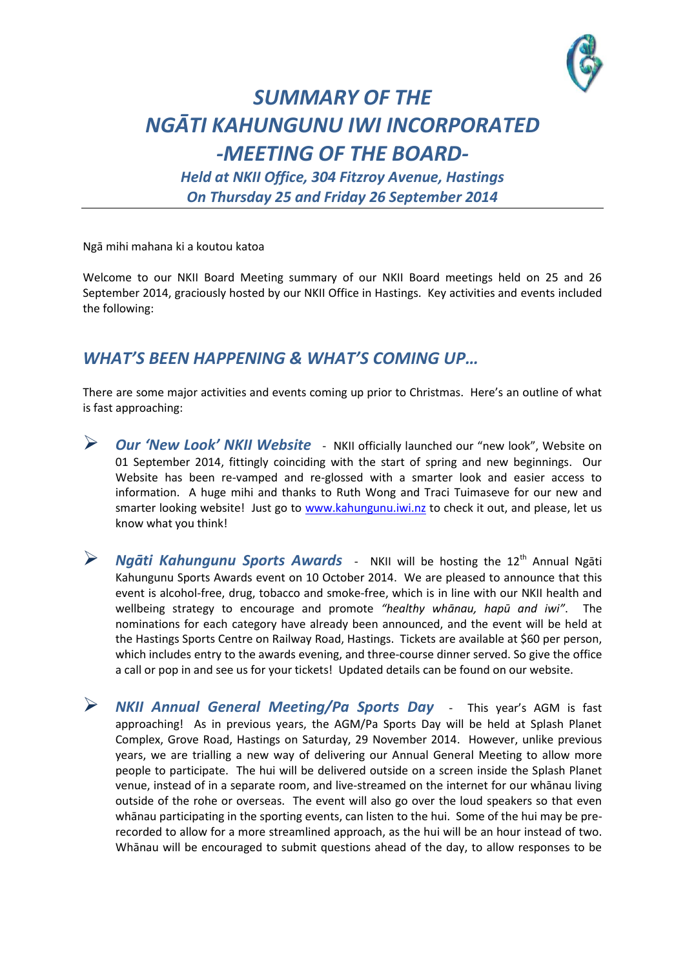

## *SUMMARY OF THE NGĀTI KAHUNGUNU IWI INCORPORATED -MEETING OF THE BOARD-*

*Held at NKII Office, 304 Fitzroy Avenue, Hastings On Thursday 25 and Friday 26 September 2014*

Ngā mihi mahana ki a koutou katoa

Welcome to our NKII Board Meeting summary of our NKII Board meetings held on 25 and 26 September 2014, graciously hosted by our NKII Office in Hastings. Key activities and events included the following:

## *WHAT'S BEEN HAPPENING & WHAT'S COMING UP…*

There are some major activities and events coming up prior to Christmas. Here's an outline of what is fast approaching:

- *Our 'New Look' NKII Website* NKII officially launched our "new look", Website on 01 September 2014, fittingly coinciding with the start of spring and new beginnings. Our Website has been re-vamped and re-glossed with a smarter look and easier access to information. A huge mihi and thanks to Ruth Wong and Traci Tuimaseve for our new and smarter looking website! Just go to [www.kahungunu.iwi.nz](http://www.kahungunu.iwi.nz/) to check it out, and please, let us know what you think!
- → **Ngāti Kahungunu Sports Awards** NKII will be hosting the 12<sup>th</sup> Annual Ngāti Kahungunu Sports Awards event on 10 October 2014. We are pleased to announce that this event is alcohol-free, drug, tobacco and smoke-free, which is in line with our NKII health and wellbeing strategy to encourage and promote *"healthy whānau, hapū and iwi"*. The nominations for each category have already been announced, and the event will be held at the Hastings Sports Centre on Railway Road, Hastings. Tickets are available at \$60 per person, which includes entry to the awards evening, and three-course dinner served. So give the office a call or pop in and see us for your tickets! Updated details can be found on our website.
- *NKII Annual General Meeting/Pa Sports Day* This year's AGM is fast approaching! As in previous years, the AGM/Pa Sports Day will be held at Splash Planet Complex, Grove Road, Hastings on Saturday, 29 November 2014. However, unlike previous years, we are trialling a new way of delivering our Annual General Meeting to allow more people to participate. The hui will be delivered outside on a screen inside the Splash Planet venue, instead of in a separate room, and live-streamed on the internet for our whānau living outside of the rohe or overseas. The event will also go over the loud speakers so that even whānau participating in the sporting events, can listen to the hui. Some of the hui may be prerecorded to allow for a more streamlined approach, as the hui will be an hour instead of two. Whānau will be encouraged to submit questions ahead of the day, to allow responses to be